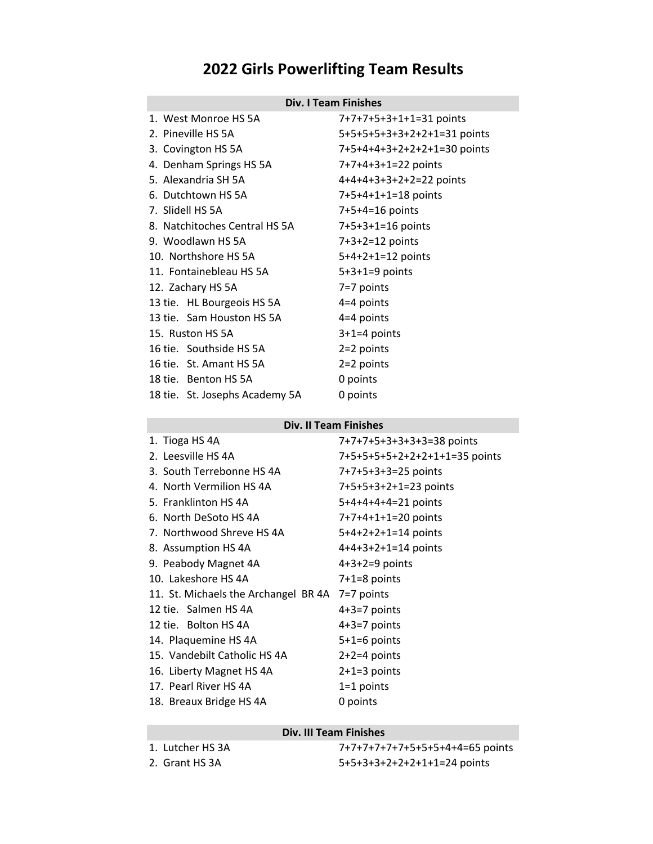# **2022 Girls Powerlifting Team Results**

# **Div. I Team Finishes**

| 1. West Monroe HS 5A                               | 7+7+7+5+3+1+1=31 points     |  |
|----------------------------------------------------|-----------------------------|--|
| 2. Pineville HS 5A                                 | 5+5+5+5+3+3+2+2+1=31 points |  |
| 3. Covington HS 5A                                 | 7+5+4+4+3+2+2+2+1=30 points |  |
| 4. Denham Springs HS 5A                            | 7+7+4+3+1=22 points         |  |
| 5. Alexandria SH 5A                                | 4+4+4+3+3+2+2=22 points     |  |
| 6. Dutchtown HS 5A                                 | 7+5+4+1+1=18 points         |  |
| 7. Slidell HS 5A                                   | 7+5+4=16 points             |  |
| 8. Natchitoches Central HS 5A<br>7+5+3+1=16 points |                             |  |
| 9. Woodlawn HS 5A                                  | $7+3+2=12$ points           |  |
| 10. Northshore HS 5A                               | 5+4+2+1=12 points           |  |
| 11. Fontainebleau HS 5A                            | $5+3+1=9$ points            |  |
| 12. Zachary HS 5A                                  | 7=7 points                  |  |
| 13 tie. HL Bourgeois HS 5A                         | 4=4 points                  |  |
| 13 tie. Sam Houston HS 5A                          | 4=4 points                  |  |
| 15. Ruston HS 5A                                   | $3+1=4$ points              |  |
| 16 tie. Southside HS 5A                            | $2=2$ points                |  |
| 16 tie. St. Amant HS 5A                            | $2=2$ points                |  |
| 18 tie. Benton HS 5A                               | 0 points                    |  |
| 18 tie. St. Josephs Academy 5A                     | 0 points                    |  |
|                                                    |                             |  |

#### **Div. II Team Finishes**

| 1. Tioga HS 4A                       | 7+7+7+5+3+3+3+3=38 points     |  |
|--------------------------------------|-------------------------------|--|
| 2. Leesville HS 4A                   | 7+5+5+5+5+2+2+2+1+1=35 points |  |
| 3. South Terrebonne HS 4A            | 7+7+5+3+3=25 points           |  |
| 4. North Vermilion HS 4A             | 7+5+5+3+2+1=23 points         |  |
| 5. Franklinton HS 4A                 | 5+4+4+4+4=21 points           |  |
| 6. North DeSoto HS 4A                | 7+7+4+1+1=20 points           |  |
| 7. Northwood Shreve HS 4A            | $5+4+2+2+1=14$ points         |  |
| 8. Assumption HS 4A                  | $4+4+3+2+1=14$ points         |  |
| 9. Peabody Magnet 4A                 | $4+3+2=9$ points              |  |
| 10. Lakeshore HS 4A                  | $7+1=8$ points                |  |
| 11. St. Michaels the Archangel BR 4A | $7=7$ points                  |  |
| 12 tie. Salmen HS 4A                 | $4+3=7$ points                |  |
| 12 tie. Bolton HS 4A                 | $4+3=7$ points                |  |
| 14. Plaquemine HS 4A                 | $5+1=6$ points                |  |
| 15. Vandebilt Catholic HS 4A         | $2+2=4$ points                |  |
| 16. Liberty Magnet HS 4A             | $2+1=3$ points                |  |
| 17. Pearl River HS 4A                | $1=1$ points                  |  |
| 18. Breaux Bridge HS 4A              | 0 points                      |  |

# **Div. III Team Finishes**

|  | 1. Lutcher HS 3A |  |  |
|--|------------------|--|--|
|--|------------------|--|--|

1. Lutcher HS 3A 7+7+7+7+7+7+5+5+5+4+4=65 points 2. Grant HS 3A 5+5+3+3+2+2+2+2+1+1=24 points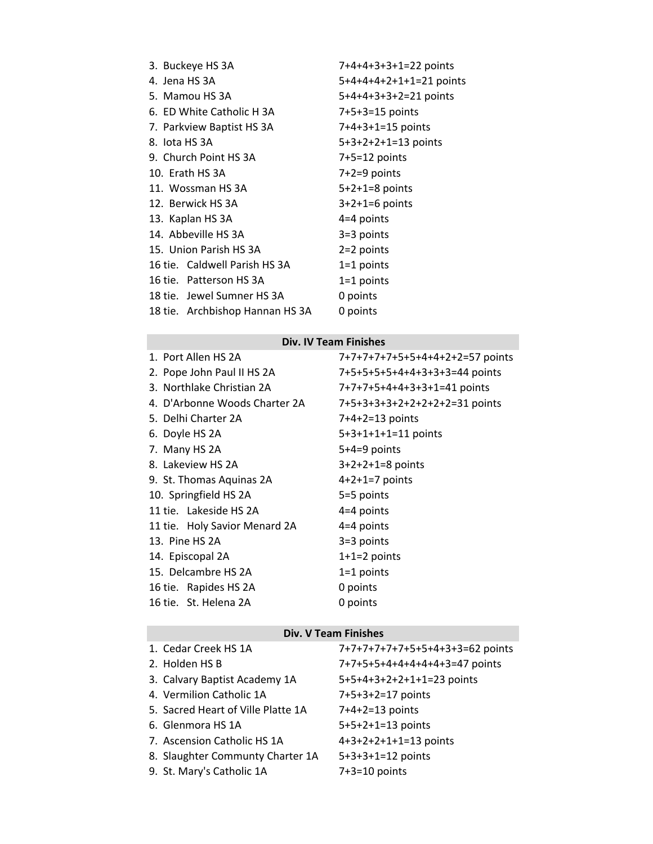| 3. Buckeye HS 3A                | 7+4+4+3+3+1=22 points   |  |
|---------------------------------|-------------------------|--|
| 4. Jena HS 3A                   | 5+4+4+4+2+1+1=21 points |  |
| 5. Mamou HS 3A                  | 5+4+4+3+3+2=21 points   |  |
| 6. ED White Catholic H 3A       | 7+5+3=15 points         |  |
| 7. Parkview Baptist HS 3A       | 7+4+3+1=15 points       |  |
| 8. lota HS 3A                   | $5+3+2+2+1=13$ points   |  |
| 9. Church Point HS 3A           | $7+5=12$ points         |  |
| 10. Erath HS 3A                 | $7+2=9$ points          |  |
| 11. Wossman HS 3A               | $5+2+1=8$ points        |  |
| 12. Berwick HS 3A               | $3+2+1=6$ points        |  |
| 13. Kaplan HS 3A                | $4=4$ points            |  |
| 14. Abbeville HS 3A             | 3=3 points              |  |
| 15. Union Parish HS 3A          | $2=2$ points            |  |
| 16 tie. Caldwell Parish HS 3A   | $1=1$ points            |  |
| 16 tie. Patterson HS 3A         | $1=1$ points            |  |
| 18 tie. Jewel Sumner HS 3A      | 0 points                |  |
| 18 tie. Archbishop Hannan HS 3A | 0 points                |  |

### **Div. IV Team Finishes**

| 1. Port Allen HS 2A           | 7+7+7+7+7+5+5+4+4+2+2=57 points |
|-------------------------------|---------------------------------|
| 2. Pope John Paul II HS 2A    | 7+5+5+5+5+4+4+3+3+3=44 points   |
| 3. Northlake Christian 2A     | 7+7+7+5+4+4+3+3+1=41 points     |
| 4. D'Arbonne Woods Charter 2A | 7+5+3+3+3+2+2+2+2+2=31 points   |
| 5. Delhi Charter 2A           | 7+4+2=13 points                 |
| 6. Doyle HS 2A                | 5+3+1+1+1=11 points             |
| 7. Many HS 2A                 | $5+4=9$ points                  |
| 8. Lakeview HS 2A             | $3+2+2+1=8$ points              |
| 9. St. Thomas Aquinas 2A      | $4+2+1=7$ points                |
| 10. Springfield HS 2A         | 5=5 points                      |
| 11 tie. Lakeside HS 2A        | $4=4$ points                    |
| 11 tie. Holy Savior Menard 2A | $4=4$ points                    |
| 13. Pine HS 2A                | $3=3$ points                    |
| 14. Episcopal 2A              | $1+1=2$ points                  |
| 15. Delcambre HS 2A           | $1=1$ points                    |
| 16 tie. Rapides HS 2A         | 0 points                        |
| 16 tie. St. Helena 2A         | 0 points                        |

# **Div. V Team Finishes**

| 1. Cedar Creek HS 1A               | 7+7+7+7+7+7+5+5+4+3+3=62 points |
|------------------------------------|---------------------------------|
| 2. Holden HS B                     | 7+7+5+5+4+4+4+4+4+3=47 points   |
| 3. Calvary Baptist Academy 1A      | 5+5+4+3+2+2+1+1=23 points       |
| 4. Vermilion Catholic 1A           | 7+5+3+2=17 points               |
| 5. Sacred Heart of Ville Platte 1A | $7+4+2=13$ points               |
| 6. Glenmora HS 1A                  | 5+5+2+1=13 points               |
| 7. Ascension Catholic HS 1A        | 4+3+2+2+1+1=13 points           |
| 8. Slaughter Communty Charter 1A   | $5+3+3+1=12$ points             |
| 9. St. Mary's Catholic 1A          | $7+3=10$ points                 |
|                                    |                                 |